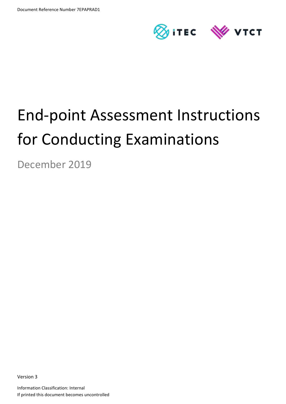

# End-point Assessment Instructions for Conducting Examinations

December 2019

Version 3

Information Classification: Internal If printed this document becomes uncontrolled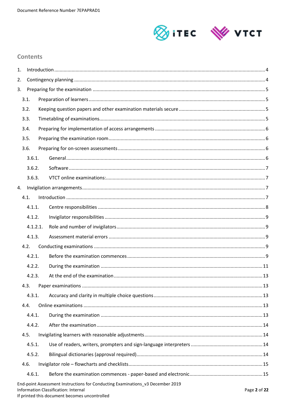

## **Contents**

| 1. |          |                                                                                                                        |              |
|----|----------|------------------------------------------------------------------------------------------------------------------------|--------------|
| 2. |          |                                                                                                                        |              |
| 3. |          |                                                                                                                        |              |
|    | 3.1.     |                                                                                                                        |              |
|    | 3.2.     |                                                                                                                        |              |
|    | 3.3.     |                                                                                                                        |              |
|    | 3.4.     |                                                                                                                        |              |
|    | 3.5.     |                                                                                                                        |              |
|    | 3.6.     |                                                                                                                        |              |
|    | 3.6.1.   |                                                                                                                        |              |
|    | 3.6.2.   |                                                                                                                        |              |
|    | 3.6.3.   |                                                                                                                        |              |
| 4. |          |                                                                                                                        |              |
|    | 4.1.     |                                                                                                                        |              |
|    | 4.1.1.   |                                                                                                                        |              |
|    | 4.1.2.   |                                                                                                                        |              |
|    | 4.1.2.1. |                                                                                                                        |              |
|    | 4.1.3.   |                                                                                                                        |              |
|    | 4.2.     |                                                                                                                        |              |
|    | 4.2.1.   |                                                                                                                        |              |
|    | 4.2.2.   |                                                                                                                        |              |
|    | 4.2.3.   |                                                                                                                        |              |
|    | 4.3.     |                                                                                                                        |              |
|    | 4.3.1.   |                                                                                                                        |              |
|    | 4.4.     |                                                                                                                        |              |
|    | 4.4.1.   |                                                                                                                        |              |
|    | 4.4.2.   |                                                                                                                        |              |
|    | 4.5.     |                                                                                                                        |              |
|    | 4.5.1.   |                                                                                                                        |              |
|    | 4.5.2.   |                                                                                                                        |              |
|    | 4.6.     |                                                                                                                        |              |
|    | 4.6.1.   |                                                                                                                        |              |
|    |          | End-point Assessment Instructions for Conducting Examinations_v3 December 2019<br>Information Classification: Internal | Page 2 of 22 |

If printed this document becomes uncontrolled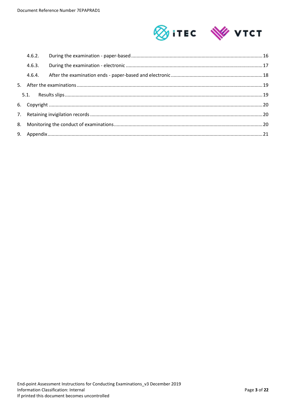

| 4.6.2. |  |
|--------|--|
| 4.6.3. |  |
| 4.6.4. |  |
|        |  |
|        |  |
|        |  |
|        |  |
|        |  |
|        |  |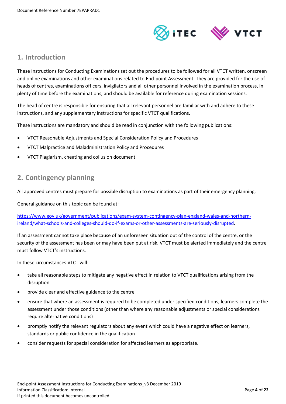

# <span id="page-3-0"></span>**1. Introduction**

These Instructions for Conducting Examinations set out the procedures to be followed for all VTCT written, onscreen and online examinations and other examinations related to End-point Assessment. They are provided for the use of heads of centres, examinations officers, invigilators and all other personnel involved in the examination process, in plenty of time before the examinations, and should be available for reference during examination sessions.

The head of centre is responsible for ensuring that all relevant personnel are familiar with and adhere to these instructions, and any supplementary instructions for specific VTCT qualifications.

These instructions are mandatory and should be read in conjunction with the following publications:

- VTCT Reasonable Adjustments and Special Consideration Policy and Procedures
- VTCT Malpractice and Maladministration Policy and Procedures
- <span id="page-3-1"></span>VTCT Plagiarism, cheating and collusion document

# **2. Contingency planning**

All approved centres must prepare for possible disruption to examinations as part of their emergency planning.

General guidance on this topic can be found at:

[https://www.gov.uk/government/publications/exam-system-contingency-plan-england-wales-and-northern](https://www.gov.uk/government/publications/exam-system-contingency-plan-england-wales-and-northern-ireland/what-schools-and-colleges-should-do-if-exams-or-other-assessments-are-seriously-disrupted)[ireland/what-schools-and-colleges-should-do-if-exams-or-other-assessments-are-seriously-disrupted.](https://www.gov.uk/government/publications/exam-system-contingency-plan-england-wales-and-northern-ireland/what-schools-and-colleges-should-do-if-exams-or-other-assessments-are-seriously-disrupted)

If an assessment cannot take place because of an unforeseen situation out of the control of the centre, or the security of the assessment has been or may have been put at risk, VTCT must be alerted immediately and the centre must follow VTCT's instructions.

In these circumstances VTCT will:

- take all reasonable steps to mitigate any negative effect in relation to VTCT qualifications arising from the disruption
- provide clear and effective guidance to the centre
- ensure that where an assessment is required to be completed under specified conditions, learners complete the assessment under those conditions (other than where any reasonable adjustments or special considerations require alternative conditions)
- promptly notify the relevant regulators about any event which could have a negative effect on learners, standards or public confidence in the qualification
- consider requests for special consideration for affected learners as appropriate.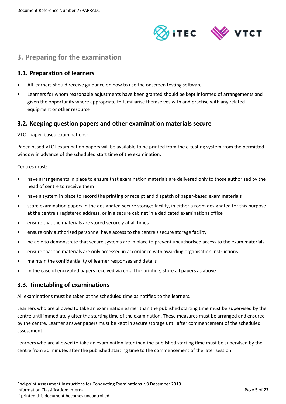

# <span id="page-4-0"></span>**3. Preparing for the examination**

## <span id="page-4-1"></span>**3.1. Preparation of learners**

- All learners should receive guidance on how to use the onscreen testing software
- Learners for whom reasonable adjustments have been granted should be kept informed of arrangements and given the opportunity where appropriate to familiarise themselves with and practise with any related equipment or other resource

## <span id="page-4-2"></span>**3.2. Keeping question papers and other examination materials secure**

VTCT paper-based examinations:

Paper-based VTCT examination papers will be available to be printed from the e-testing system from the permitted window in advance of the scheduled start time of the examination.

Centres must:

- have arrangements in place to ensure that examination materials are delivered only to those authorised by the head of centre to receive them
- have a system in place to record the printing or receipt and dispatch of paper-based exam materials
- store examination papers in the designated secure storage facility, in either a room designated for this purpose at the centre's registered address, or in a secure cabinet in a dedicated examinations office
- ensure that the materials are stored securely at all times
- ensure only authorised personnel have access to the centre's secure storage facility
- be able to demonstrate that secure systems are in place to prevent unauthorised access to the exam materials
- ensure that the materials are only accessed in accordance with awarding organisation instructions
- maintain the confidentiality of learner responses and details
- in the case of encrypted papers received via email for printing, store all papers as above

## <span id="page-4-3"></span>**3.3. Timetabling of examinations**

All examinations must be taken at the scheduled time as notified to the learners.

Learners who are allowed to take an examination earlier than the published starting time must be supervised by the centre until immediately after the starting time of the examination. These measures must be arranged and ensured by the centre. Learner answer papers must be kept in secure storage until after commencement of the scheduled assessment.

Learners who are allowed to take an examination later than the published starting time must be supervised by the centre from 30 minutes after the published starting time to the commencement of the later session.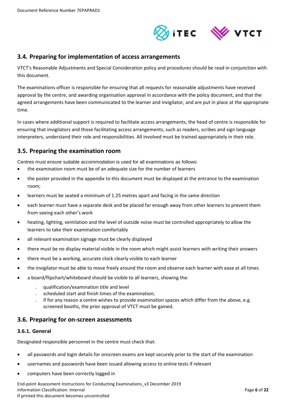

## <span id="page-5-0"></span>**3.4. Preparing for implementation of access arrangements**

VTCT's Reasonable Adjustments and Special Consideration policy and procedures should be read in conjunction with this document.

The examinations officer is responsible for ensuring that all requests for reasonable adjustments have received approval by the centre, and awarding organisation approval in accordance with the policy document, and that the agreed arrangements have been communicated to the learner and invigilator, and are put in place at the appropriate time.

In cases where additional support is required to facilitate access arrangements, the head of centre is responsible for ensuring that invigilators and those facilitating access arrangements, such as readers, scribes and sign language interpreters, understand their role and responsibilities. All involved must be trained appropriately in their role.

## <span id="page-5-1"></span>**3.5. Preparing the examination room**

Centres must ensure suitable accommodation is used for all examinations as follows:

- the examination room must be of an adequate size for the number of learners
- the poster provided in the appendix to this document must be displayed at the entrance to the examination room;
- learners must be seated a minimum of 1.25 metres apart and facing in the same direction
- each learner must have a separate desk and be placed far enough away from other learners to prevent them from seeing each other's work
- heating, lighting, ventilation and the level of outside noise must be controlled appropriately to allow the learners to take their examination comfortably
- all relevant examination signage must be clearly displayed
- there must be no display material visible in the room which might assist learners with writing their answers
- there must be a working, accurate clock clearly visible to each learner
- the invigilator must be able to move freely around the room and observe each learner with ease at all times
- a board/flipchart/whiteboard should be visible to all learners, showing the:
	- qualification/examination title and level
	- scheduled start and finish times of the examination;
	- if for any reason a centre wishes to provide examination spaces which differ from the above, e.g. screened booths, the prior approval of VTCT must be gained.

#### <span id="page-5-2"></span>**3.6. Preparing for on-screen assessments**

#### <span id="page-5-3"></span>**3.6.1. General**

Designated responsible personnel in the centre must check that:

- all passwords and login details for onscreen exams are kept securely prior to the start of the examination
- usernames and passwords have been issued allowing access to online tests if relevant
- computers have been correctly logged in

End-point Assessment Instructions for Conducting Examinations\_v3 December 2019 Information Classification: Internal **Page 6** of 22 If printed this document becomes uncontrolled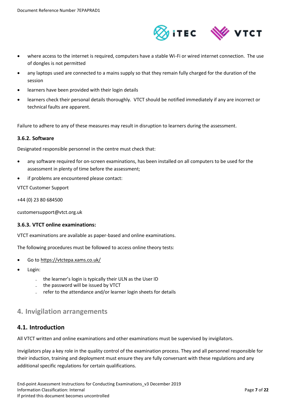

- where access to the internet is required, computers have a stable Wi-Fi or wired internet connection. The use of dongles is not permitted
- any laptops used are connected to a mains supply so that they remain fully charged for the duration of the session
- learners have been provided with their login details
- learners check their personal details thoroughly. VTCT should be notified immediately if any are incorrect or technical faults are apparent.

Failure to adhere to any of these measures may result in disruption to learners during the assessment.

#### <span id="page-6-0"></span>**3.6.2. Software**

Designated responsible personnel in the centre must check that:

- any software required for on-screen examinations, has been installed on all computers to be used for the assessment in plenty of time before the assessment;
- if problems are encountered please contact:

VTCT Customer Support

+44 (0) 23 80 684500

customersupport@vtct.org.uk

#### <span id="page-6-1"></span>**3.6.3. VTCT online examinations:**

VTCT examinations are available as paper-based and online examinations.

The following procedures must be followed to access online theory tests:

- Go t[o https://vtctepa.xams.co.uk/](https://vtctepa.xams.co.uk/)
- Login:
	- the learner's login is typically their ULN as the User ID
	- the password will be issued by VTCT
	- refer to the attendance and/or learner login sheets for details

## <span id="page-6-2"></span>**4. Invigilation arrangements**

#### <span id="page-6-3"></span>**4.1. Introduction**

All VTCT written and online examinations and other examinations must be supervised by invigilators.

Invigilators play a key role in the quality control of the examination process. They and all personnel responsible for their induction, training and deployment must ensure they are fully conversant with these regulations and any additional specific regulations for certain qualifications.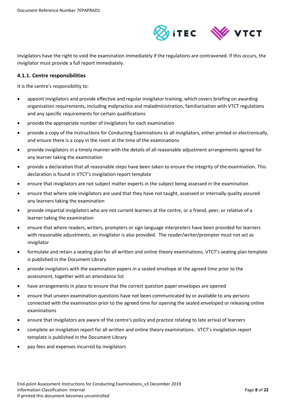

Invigilators have the right to void the examination immediately if the regulations are contravened. If this occurs, the invigilator must provide a full report immediately.

#### <span id="page-7-0"></span>**4.1.1. Centre responsibilities**

It is the centre's responsibility to:

- appoint invigilators and provide effective and regular invigilator training, which covers briefing on awarding organisation requirements, including malpractice and maladministration, familiarisation with VTCT regulations and any specific requirements for certain qualifications
- provide the appropriate number of invigilators for each examination
- provide a copy of the Instructions for Conducting Examinations to all invigilators, either printed or electronically, and ensure there is a copy in the room at the time of the examinations
- provide invigilators in a timely manner with the details of all reasonable adjustment arrangements agreed for any learner taking the examination
- provide a declaration that all reasonable steps have been taken to ensure the integrity of the examination. This declaration is found in VTCT's invigilation report template
- ensure that invigilators are not subject matter experts in the subject being assessed in the examination
- ensure that where sole invigilators are used that they have not taught, assessed or internally quality assured any learners taking the examination
- provide impartial invigilators who are not current learners at the centre, or a friend, peer, or relative of a learner taking the examination
- ensure that where readers, writers, prompters or sign language interpreters have been provided for learners with reasonable adjustments, an invigilator is also provided. The reader/writer/prompter must not act as invigilator
- formulate and retain a seating plan for all written and online theory examinations. VTCT's seating plan template is published in the Document Library
- provide invigilators with the examination papers in a sealed envelope at the agreed time prior to the assessment, together with an attendance list
- have arrangements in place to ensure that the correct question paper envelopes are opened
- ensure that unseen examination questions have not been communicated by or available to any persons connected with the examination prior to the agreed time for opening the sealed enveloped or releasing online examinations
- ensure that invigilators are aware of the centre's policy and practice relating to late arrival of learners
- complete an invigilation report for all written and online theory examinations. VTCT's invigilation report template is published in the Document Library
- pay fees and expenses incurred by invigilators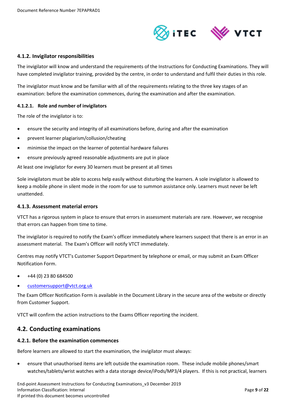

#### <span id="page-8-0"></span>**4.1.2. Invigilator responsibilities**

The invigilator will know and understand the requirements of the Instructions for Conducting Examinations. They will have completed invigilator training, provided by the centre, in order to understand and fulfil their duties in this role.

The invigilator must know and be familiar with all of the requirements relating to the three key stages of an examination: before the examination commences, during the examination and after the examination.

#### <span id="page-8-1"></span>**4.1.2.1. Role and number of invigilators**

The role of the invigilator is to:

- ensure the security and integrity of all examinations before, during and after the examination
- prevent learner plagiarism/collusion/cheating
- minimise the impact on the learner of potential hardware failures
- ensure previously agreed reasonable adjustments are put in place

At least one invigilator for every 30 learners must be present at all times

Sole invigilators must be able to access help easily without disturbing the learners. A sole invigilator is allowed to keep a mobile phone in silent mode in the room for use to summon assistance only. Learners must never be left unattended.

#### <span id="page-8-2"></span>**4.1.3. Assessment material errors**

VTCT has a rigorous system in place to ensure that errors in assessment materials are rare. However, we recognise that errors can happen from time to time.

The invigilator is required to notify the Exam's officer immediately where learners suspect that there is an error in an assessment material. The Exam's Officer will notify VTCT immediately.

Centres may notify VTCT's Customer Support Department by telephone or email, or may submit an Exam Officer Notification Form.

- +44 (0) 23 80 684500
- [customersupport@vtct.org.uk](mailto:customersupport@vtct.org.uk)

The Exam Officer Notification Form is available in the Document Library in the secure area of the website or directly from Customer Support.

VTCT will confirm the action instructions to the Exams Officer reporting the incident.

#### <span id="page-8-3"></span>**4.2. Conducting examinations**

#### <span id="page-8-4"></span>**4.2.1. Before the examination commences**

Before learners are allowed to start the examination, the invigilator must always:

 ensure that unauthorised items are left outside the examination room. These include mobile phones/smart watches/tablets/wrist watches with a data storage device/iPods/MP3/4 players. If this is not practical, learners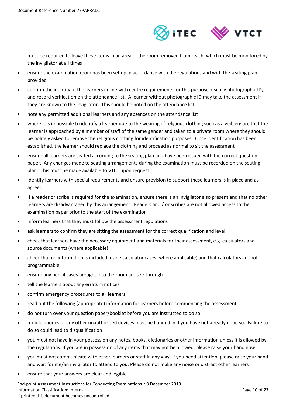

must be required to leave these items in an area of the room removed from reach, which must be monitored by the invigilator at all times

- ensure the examination room has been set up in accordance with the regulations and with the seating plan provided
- confirm the identity of the learners in line with centre requirements for this purpose, usually photographic ID, and record verification on the attendance list. A learner without photographic ID may take the assessment if they are known to the invigilator. This should be noted on the attendance list
- note any permitted additional learners and any absences on the attendance list
- where it is impossible to identify a learner due to the wearing of religious clothing such as a veil, ensure that the learner is approached by a member of staff of the same gender and taken to a private room where they should be politely asked to remove the religious clothing for identification purposes. Once identification has been established, the learner should replace the clothing and proceed as normal to sit the assessment
- ensure all learners are seated according to the seating plan and have been issued with the correct question paper. Any changes made to seating arrangements during the examination must be recorded on the seating plan. This must be made available to VTCT upon request
- identify learners with special requirements and ensure provision to support these learners is in place and as agreed
- if a reader or scribe is required for the examination, ensure there is an invigilator also present and that no other learners are disadvantaged by this arrangement. Readers and / or scribes are not allowed access to the examination paper prior to the start of the examination
- inform learners that they must follow the assessment regulations
- ask learners to confirm they are sitting the assessment for the correct qualification and level
- check that learners have the necessary equipment and materials for their assessment, e.g. calculators and source documents (where applicable)
- check that no information is included inside calculator cases (where applicable) and that calculators are not programmable
- ensure any pencil cases brought into the room are see-through
- tell the learners about any erratum notices
- confirm emergency procedures to all learners
- read out the following (appropriate) information for learners before commencing the assessment:
- do not turn over your question paper/booklet before you are instructed to do so
- mobile phones or any other unauthorised devices must be handed in if you have not already done so. Failure to do so could lead to disqualification
- you must not have in your possession any notes, books, dictionaries or other information unless it is allowed by the regulations. If you are in possession of any items that may not be allowed, please raise your hand now
- you must not communicate with other learners or staff in any way. If you need attention, please raise your hand and wait for me/an invigilator to attend to you. Please do not make any noise or distract other learners
- ensure that your answers are clear and legible

End-point Assessment Instructions for Conducting Examinations\_v3 December 2019 Information Classification: Internal Page **10** of **22** If printed this document becomes uncontrolled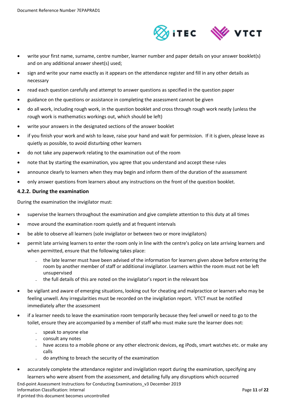

- write your first name, surname, centre number, learner number and paper details on your answer booklet(s) and on any additional answer sheet(s) used;
- sign and write your name exactly as it appears on the attendance register and fill in any other details as necessary
- read each question carefully and attempt to answer questions as specified in the question paper
- guidance on the questions or assistance in completing the assessment cannot be given
- do all work, including rough work, in the question booklet and cross through rough work neatly (unless the rough work is mathematics workings out, which should be left)
- write your answers in the designated sections of the answer booklet
- if you finish your work and wish to leave, raise your hand and wait for permission. If it is given, please leave as quietly as possible, to avoid disturbing other learners
- do not take any paperwork relating to the examination out of the room
- note that by starting the examination, you agree that you understand and accept these rules
- announce clearly to learners when they may begin and inform them of the duration of the assessment
- only answer questions from learners about any instructions on the front of the question booklet.

#### <span id="page-10-0"></span>**4.2.2. During the examination**

During the examination the invigilator must:

- supervise the learners throughout the examination and give complete attention to this duty at all times
- move around the examination room quietly and at frequent intervals
- be able to observe all learners (sole invigilator or between two or more invigilators)
- permit late arriving learners to enter the room only in line with the centre's policy on late arriving learners and when permitted, ensure that the following takes place:
	- the late learner must have been advised of the information for learners given above before entering the room by another member of staff or additional invigilator. Learners within the room must not be left unsupervised
	- the full details of this are noted on the invigilator's report in the relevant box
- be vigilant and aware of emerging situations, looking out for cheating and malpractice or learners who may be feeling unwell. Any irregularities must be recorded on the invigilation report. VTCT must be notified immediately after the assessment
- if a learner needs to leave the examination room temporarily because they feel unwell or need to go to the toilet, ensure they are accompanied by a member of staff who must make sure the learner does not:
	- speak to anyone else
	- consult any notes
	- have access to a mobile phone or any other electronic devices, eg iPods, smart watches etc. or make any calls
	- do anything to breach the security of the examination
- accurately complete the attendance register and invigilation report during the examination, specifying any learners who were absent from the assessment, and detailing fully any disruptions which occurred

End-point Assessment Instructions for Conducting Examinations\_v3 December 2019 Information Classification: Internal Page **11** of **22** If printed this document becomes uncontrolled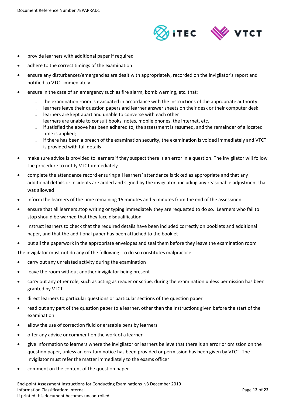

- provide learners with additional paper if required
- adhere to the correct timings of the examination
- ensure any disturbances/emergencies are dealt with appropriately, recorded on the invigilator's report and notified to VTCT immediately
- ensure in the case of an emergency such as fire alarm, bomb warning, etc. that:
	- the examination room is evacuated in accordance with the instructions of the appropriate authority
	- learners leave their question papers and learner answer sheets on their desk or their computer desk
	- learners are kept apart and unable to converse with each other
	- learners are unable to consult books, notes, mobile phones, the internet, etc.
	- if satisfied the above has been adhered to, the assessment is resumed, and the remainder of allocated time is applied;
	- if there has been a breach of the examination security, the examination is voided immediately and VTCT is provided with full details
- make sure advice is provided to learners if they suspect there is an error in a question. The invigilator will follow the procedure to notify VTCT immediately
- complete the attendance record ensuring all learners' attendance is ticked as appropriate and that any additional details or incidents are added and signed by the invigilator, including any reasonable adjustment that was allowed
- inform the learners of the time remaining 15 minutes and 5 minutes from the end of the assessment
- ensure that all learners stop writing or typing immediately they are requested to do so. Learners who fail to stop should be warned that they face disqualification
- instruct learners to check that the required details have been included correctly on booklets and additional paper, and that the additional paper has been attached to the booklet
- put all the paperwork in the appropriate envelopes and seal them before they leave the examination room

The invigilator must not do any of the following. To do so constitutes malpractice:

- carry out any unrelated activity during the examination
- leave the room without another invigilator being present
- carry out any other role, such as acting as reader or scribe, during the examination unless permission has been granted by VTCT
- direct learners to particular questions or particular sections of the question paper
- read out any part of the question paper to a learner, other than the instructions given before the start of the examination
- allow the use of correction fluid or erasable pens by learners
- offer any advice or comment on the work of a learner
- give information to learners where the invigilator or learners believe that there is an error or omission on the question paper, unless an erratum notice has been provided or permission has been given by VTCT. The invigilator must refer the matter immediately to the exams officer
- comment on the content of the question paper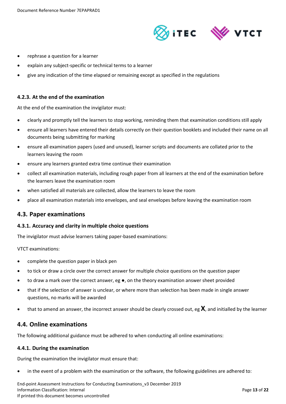

- rephrase a question for a learner
- explain any subject-specific or technical terms to a learner
- give any indication of the time elapsed or remaining except as specified in the regulations

#### <span id="page-12-0"></span>**4.2.3. At the end of the examination**

At the end of the examination the invigilator must:

- clearly and promptly tell the learners to stop working, reminding them that examination conditions still apply
- ensure all learners have entered their details correctly on their question booklets and included their name on all documents being submitting for marking
- ensure all examination papers (used and unused), learner scripts and documents are collated prior to the learners leaving the room
- ensure any learners granted extra time continue their examination
- collect all examination materials, including rough paper from all learners at the end of the examination before the learners leave the examination room
- when satisfied all materials are collected, allow the learners to leave the room
- place all examination materials into envelopes, and seal envelopes before leaving the examination room

#### <span id="page-12-1"></span>**4.3. Paper examinations**

#### <span id="page-12-2"></span>**4.3.1. Accuracy and clarity in multiple choice questions**

The invigilator must advise learners taking paper-based examinations:

VTCT examinations:

- complete the question paper in black pen
- to tick or draw a circle over the correct answer for multiple choice questions on the question paper
- to draw a mark over the correct answer, eg ●, on the theory examination answer sheet provided
- that if the selection of answer is unclear, or where more than selection has been made in single answer questions, no marks will be awarded
- that to amend an answer, the incorrect answer should be clearly crossed out, eg **X**, and initialled by the learner

#### <span id="page-12-3"></span>**4.4. Online examinations**

The following additional guidance must be adhered to when conducting all online examinations:

#### <span id="page-12-4"></span>**4.4.1. During the examination**

During the examination the invigilator must ensure that:

in the event of a problem with the examination or the software, the following guidelines are adhered to:

End-point Assessment Instructions for Conducting Examinations\_v3 December 2019 Information Classification: Internal Page **13** of **22** If printed this document becomes uncontrolled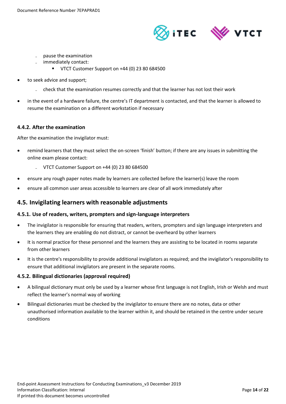



- ̵ pause the examination
- immediately contact:
	- VTCT Customer Support on +44 (0) 23 80 684500
- to seek advice and support;
	- check that the examination resumes correctly and that the learner has not lost their work
- in the event of a hardware failure, the centre's IT department is contacted, and that the learner is allowed to resume the examination on a different workstation if necessary

#### <span id="page-13-0"></span>**4.4.2. After the examination**

After the examination the invigilator must:

- remind learners that they must select the on-screen 'finish' button; if there are any issues in submitting the online exam please contact:
	- $-$  VTCT Customer Support on +44 (0) 23 80 684500
- ensure any rough paper notes made by learners are collected before the learner(s) leave the room
- ensure all common user areas accessible to learners are clear of all work immediately after

## <span id="page-13-1"></span>**4.5. Invigilating learners with reasonable adjustments**

#### <span id="page-13-2"></span>**4.5.1. Use of readers, writers, prompters and sign-language interpreters**

- The invigilator is responsible for ensuring that readers, writers, prompters and sign language interpreters and the learners they are enabling do not distract, or cannot be overheard by other learners
- It is normal practice for these personnel and the learners they are assisting to be located in rooms separate from other learners
- It is the centre's responsibility to provide additional invigilators as required; and the invigilator's responsibility to ensure that additional invigilators are present in the separate rooms.

#### <span id="page-13-3"></span>**4.5.2. Bilingual dictionaries (approval required)**

- A bilingual dictionary must only be used by a learner whose first language is not English, Irish or Welsh and must reflect the learner's normal way of working
- Bilingual dictionaries must be checked by the invigilator to ensure there are no notes, data or other unauthorised information available to the learner within it, and should be retained in the centre under secure conditions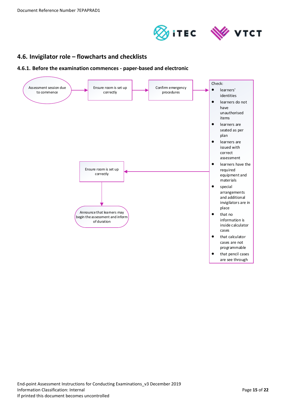



# <span id="page-14-0"></span>**4.6. Invigilator role – flowcharts and checklists**

<span id="page-14-1"></span>**4.6.1. Before the examination commences - paper-based and electronic**

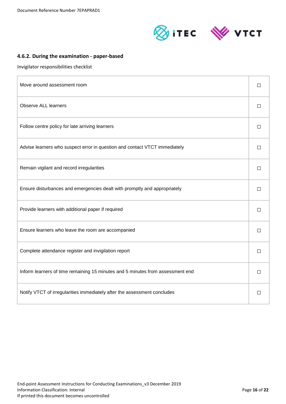



## <span id="page-15-0"></span>**4.6.2. During the examination - paper-based**

Invigilator responsibilities checklist

| Move around assessment room                                                    |        |
|--------------------------------------------------------------------------------|--------|
| <b>Observe ALL learners</b>                                                    | $\Box$ |
| Follow centre policy for late arriving learners                                | $\Box$ |
| Advise learners who suspect error in question and contact VTCT immediately     | П      |
| Remain vigilant and record irregularities                                      | П      |
| Ensure disturbances and emergencies dealt with promptly and appropriately      | $\Box$ |
| Provide learners with additional paper if required                             | $\Box$ |
| Ensure learners who leave the room are accompanied                             | $\Box$ |
| Complete attendance register and invigilation report                           | $\Box$ |
| Inform learners of time remaining 15 minutes and 5 minutes from assessment end | $\Box$ |
| Notify VTCT of irregularities immediately after the assessment concludes       | □      |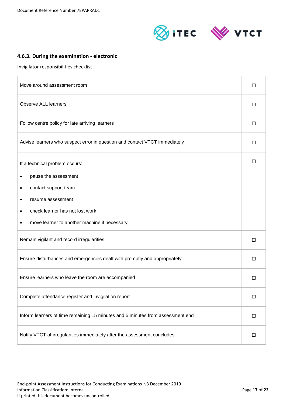



## <span id="page-16-0"></span>**4.6.3. During the examination - electronic**

Invigilator responsibilities checklist

| Move around assessment room                                                    |   |  |
|--------------------------------------------------------------------------------|---|--|
| <b>Observe ALL learners</b>                                                    |   |  |
| Follow centre policy for late arriving learners                                | □ |  |
| Advise learners who suspect error in question and contact VTCT immediately     | П |  |
| If a technical problem occurs:                                                 |   |  |
| pause the assessment                                                           |   |  |
| contact support team                                                           |   |  |
| resume assessment                                                              |   |  |
| check learner has not lost work                                                |   |  |
| move learner to another machine if necessary                                   |   |  |
| Remain vigilant and record irregularities                                      |   |  |
| Ensure disturbances and emergencies dealt with promptly and appropriately      |   |  |
| Ensure learners who leave the room are accompanied                             |   |  |
| Complete attendance register and invigilation report                           |   |  |
| Inform learners of time remaining 15 minutes and 5 minutes from assessment end |   |  |
| Notify VTCT of irregularities immediately after the assessment concludes       |   |  |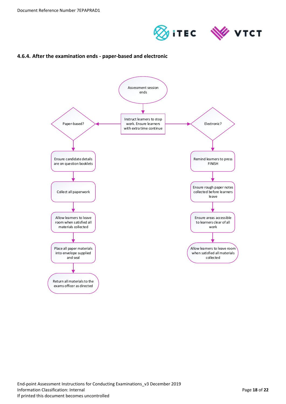



## <span id="page-17-0"></span>**4.6.4. After the examination ends - paper-based and electronic**

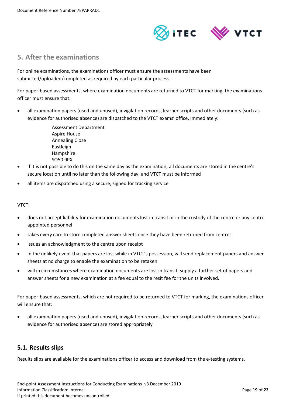

# <span id="page-18-0"></span>**5. After the examinations**

For online examinations, the examinations officer must ensure the assessments have been submitted/uploaded/completed as required by each particular process.

For paper-based assessments, where examination documents are returned to VTCT for marking, the examinations officer must ensure that:

 all examination papers (used and unused), invigilation records, learner scripts and other documents (such as evidence for authorised absence) are dispatched to the VTCT exams' office, immediately:

> Assessment Department Aspire House Annealing Close Eastleigh Hampshire SO50 9PX

- if it is not possible to do this on the same day as the examination, all documents are stored in the centre's secure location until no later than the following day, and VTCT must be informed
- all items are dispatched using a secure, signed for tracking service

#### VTCT:

- does not accept liability for examination documents lost in transit or in the custody of the centre or any centre appointed personnel
- takes every care to store completed answer sheets once they have been returned from centres
- issues an acknowledgment to the centre upon receipt
- in the unlikely event that papers are lost while in VTCT's possession, will send replacement papers and answer sheets at no charge to enable the examination to be retaken
- will in circumstances where examination documents are lost in transit, supply a further set of papers and answer sheets for a new examination at a fee equal to the resit fee for the units involved.

For paper-based assessments, which are not required to be returned to VTCT for marking, the examinations officer will ensure that:

 all examination papers (used and unused), invigilation records, learner scripts and other documents (such as evidence for authorised absence) are stored appropriately

## <span id="page-18-1"></span>**5.1. Results slips**

Results slips are available for the examinations officer to access and download from the e-testing systems.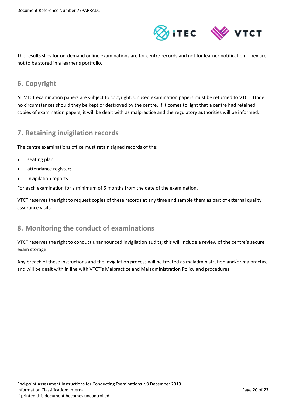

The results slips for on-demand online examinations are for centre records and not for learner notification. They are not to be stored in a learner's portfolio.

# <span id="page-19-0"></span>**6. Copyright**

All VTCT examination papers are subject to copyright. Unused examination papers must be returned to VTCT. Under no circumstances should they be kept or destroyed by the centre. If it comes to light that a centre had retained copies of examination papers, it will be dealt with as malpractice and the regulatory authorities will be informed.

## <span id="page-19-1"></span>**7. Retaining invigilation records**

The centre examinations office must retain signed records of the:

- seating plan;
- attendance register;
- invigilation reports

For each examination for a minimum of 6 months from the date of the examination.

VTCT reserves the right to request copies of these records at any time and sample them as part of external quality assurance visits.

# <span id="page-19-2"></span>**8. Monitoring the conduct of examinations**

VTCT reserves the right to conduct unannounced invigilation audits; this will include a review of the centre's secure exam storage.

Any breach of these instructions and the invigilation process will be treated as maladministration and/or malpractice and will be dealt with in line with VTCT's Malpractice and Maladministration Policy and procedures.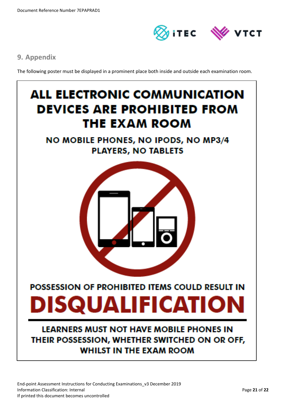

# <span id="page-20-0"></span>**9. Appendix**

The following poster must be displayed in a prominent place both inside and outside each examination room.